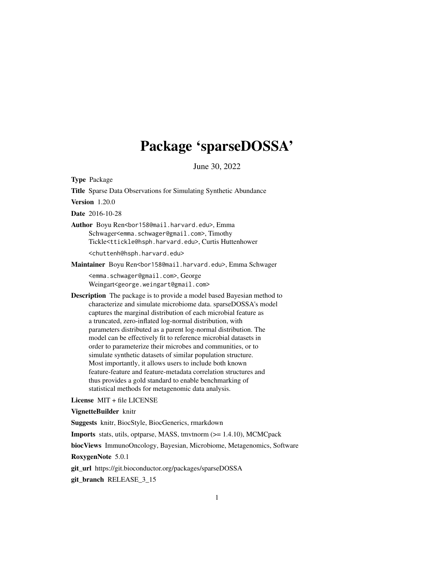# Package 'sparseDOSSA'

June 30, 2022

Type Package

Title Sparse Data Observations for Simulating Synthetic Abundance

Version 1.20.0

Date 2016-10-28

Author Boyu Ren<br/>bor158@mail.harvard.edu>, Emma Schwager<emma.schwager@gmail.com>, Timothy Tickle<ttickle@hsph.harvard.edu>, Curtis Huttenhower <chuttenh@hsph.harvard.edu>

Maintainer Boyu Ren<br/>bor158@mail.harvard.edu>, Emma Schwager

<emma.schwager@gmail.com>, George Weingart<george.weingart@gmail.com>

Description The package is to provide a model based Bayesian method to characterize and simulate microbiome data. sparseDOSSA's model captures the marginal distribution of each microbial feature as a truncated, zero-inflated log-normal distribution, with parameters distributed as a parent log-normal distribution. The model can be effectively fit to reference microbial datasets in order to parameterize their microbes and communities, or to simulate synthetic datasets of similar population structure. Most importantly, it allows users to include both known feature-feature and feature-metadata correlation structures and thus provides a gold standard to enable benchmarking of statistical methods for metagenomic data analysis.

License MIT + file LICENSE

VignetteBuilder knitr

Suggests knitr, BiocStyle, BiocGenerics, rmarkdown

Imports stats, utils, optparse, MASS, tmvtnorm (>= 1.4.10), MCMCpack

biocViews ImmunoOncology, Bayesian, Microbiome, Metagenomics, Software

RoxygenNote 5.0.1

git\_url https://git.bioconductor.org/packages/sparseDOSSA

git\_branch RELEASE\_3\_15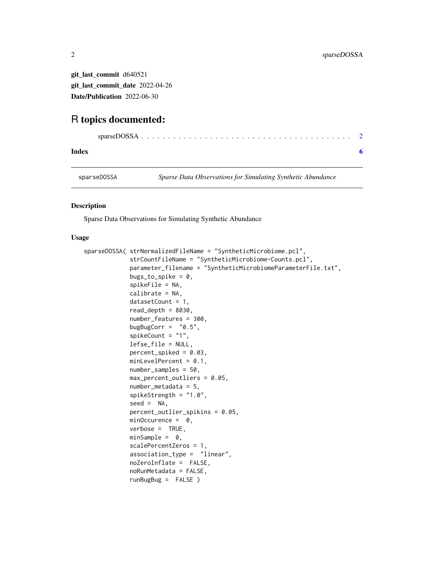<span id="page-1-0"></span>git\_last\_commit d640521 git\_last\_commit\_date 2022-04-26 Date/Publication 2022-06-30

# R topics documented:

# **Index** [6](#page-5-0) **6**

sparseDOSSA *Sparse Data Observations for Simulating Synthetic Abundance*

# Description

Sparse Data Observations for Simulating Synthetic Abundance

# Usage

```
sparseDOSSA( strNormalizedFileName = "SyntheticMicrobiome.pcl",
             strCountFileName = "SyntheticMicrobiome-Counts.pcl",
             parameter_filename = "SyntheticMicrobiomeParameterFile.txt",
             bugs_to_spike = 0,
             spikeFile = NA,
             calibrate = NA,
             datasetCount = 1,
             read_depth = 8030,
             number_features = 300,
             bugBugCorr = "0.5",spikeCount = "1",
             lefse_file = NULL,
             percent_spiked = 0.03,
             minLevelPercent = 0.1,
             number_samples = 50,
             max_percent_outliers = 0.05,
             number_metadata = 5,
             spikeStrength = "1.0",
             seed = NA,
             percent_outlier_spikins = 0.05,
             minOccurrence = 0,
             verbose = TRUE,
             minSample = 0,
             scalePercentZeros = 1,
             association_type = "linear",
             noZeroInflate = FALSE,
             noRunMetadata = FALSE,
             runBugBug = FALSE )
```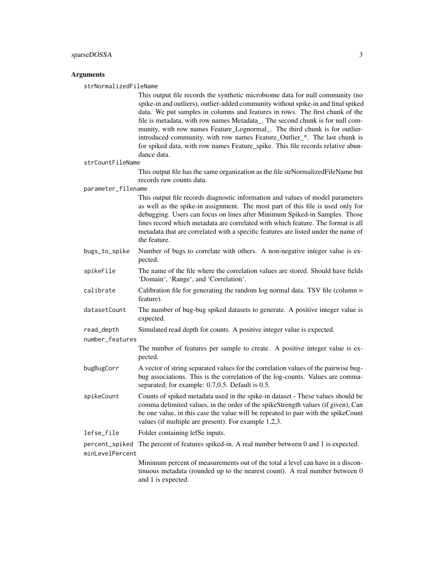## Arguments

strNormalizedFileName

This output file records the synthetic microbiome data for null community (no spike-in and outliers), outlier-added community without spike-in and final spiked data. We put samples in columns and features in rows. The first chunk of the file is metadata, with row names Metadata\_. The second chunk is for null community, with row names Feature\_Lognormal\_. The third chunk is for outlierintroduced community, with row names Feature Outlier \*. The last chunk is for spiked data, with row names Feature spike. This file records relative abundance data.

strCountFileName

This output file has the same organization as the file strNormalizedFileName but records raw counts data.

#### parameter\_filename

This output file records diagnostic information and values of model parameters as well as the spike-in assignment. The most part of this file is used only for debugging. Users can focus on lines after Minimum Spiked-in Samples. Those lines record which metadata are correlated with which feature. The format is all metadata that are correlated with a specific features are listed under the name of the feature.

- bugs\_to\_spike Number of bugs to correlate with others. A non-negative integer value is expected.
- spikeFile The name of the file where the correlation values are stored. Should have fields 'Domain', 'Range', and 'Correlation'.
- calibrate Calibration file for generating the random log normal data. TSV file (column = feature).
- datasetCount The number of bug-bug spiked datasets to generate. A positive integer value is expected.

number\_features

The number of features per sample to create. A positive integer value is expected.

- bugBugCorr A vector of string separated values for the correlation values of the pairwise bugbug associations. This is the correlation of the log-counts. Values are commaseparated; for example: 0.7,0.5. Default is 0.5.
- spikeCount Counts of spiked metadata used in the spike-in dataset These values should be comma delimited values, in the order of the spikeStrength values (if given), Can be one value, in this case the value will be repeated to pair with the spikeCount values (if multiple are present). For example 1,2,3.
- lefse\_file Folder containing lefSe inputs.

percent\_spiked The percent of features spiked-in. A real number between 0 and 1 is expected. minLevelPercent

> Minimum percent of measurements out of the total a level can have in a discontinuous metadata (rounded up to the nearest count). A real number between 0 and 1 is expected.

read\_depth Simulated read depth for counts. A positive integer value is expected.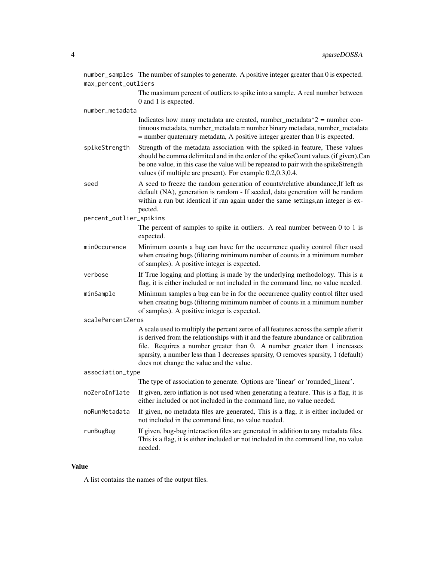|                         | number_samples The number of samples to generate. A positive integer greater than 0 is expected.                                                                                                                                                                                                                                                                                           |  |  |  |  |  |  |  |  |  |
|-------------------------|--------------------------------------------------------------------------------------------------------------------------------------------------------------------------------------------------------------------------------------------------------------------------------------------------------------------------------------------------------------------------------------------|--|--|--|--|--|--|--|--|--|
| max_percent_outliers    |                                                                                                                                                                                                                                                                                                                                                                                            |  |  |  |  |  |  |  |  |  |
|                         | The maximum percent of outliers to spike into a sample. A real number between<br>0 and 1 is expected.                                                                                                                                                                                                                                                                                      |  |  |  |  |  |  |  |  |  |
| number_metadata         |                                                                                                                                                                                                                                                                                                                                                                                            |  |  |  |  |  |  |  |  |  |
|                         | Indicates how many metadata are created, number_metadata $*2$ = number con-<br>tinuous metadata, number_metadata = number binary metadata, number_metadata<br>$=$ number quaternary metadata, A positive integer greater than 0 is expected.                                                                                                                                               |  |  |  |  |  |  |  |  |  |
| spikeStrength           | Strength of the metadata association with the spiked-in feature, These values<br>should be comma delimited and in the order of the spikeCount values (if given),Can<br>be one value, in this case the value will be repeated to pair with the spikeStrength<br>values (if multiple are present). For example 0.2,0.3,0.4.                                                                  |  |  |  |  |  |  |  |  |  |
| seed                    | A seed to freeze the random generation of counts/relative abundance, If left as<br>default (NA), generation is random - If seeded, data generation will be random<br>within a run but identical if ran again under the same settings, an integer is ex-<br>pected.                                                                                                                         |  |  |  |  |  |  |  |  |  |
| percent_outlier_spikins |                                                                                                                                                                                                                                                                                                                                                                                            |  |  |  |  |  |  |  |  |  |
|                         | The percent of samples to spike in outliers. A real number between $0$ to $1$ is<br>expected.                                                                                                                                                                                                                                                                                              |  |  |  |  |  |  |  |  |  |
| minOccurence            | Minimum counts a bug can have for the occurrence quality control filter used<br>when creating bugs (filtering minimum number of counts in a minimum number<br>of samples). A positive integer is expected.                                                                                                                                                                                 |  |  |  |  |  |  |  |  |  |
| verbose                 | If True logging and plotting is made by the underlying methodology. This is a<br>flag, it is either included or not included in the command line, no value needed.                                                                                                                                                                                                                         |  |  |  |  |  |  |  |  |  |
| minSample               | Minimum samples a bug can be in for the occurrence quality control filter used<br>when creating bugs (filtering minimum number of counts in a minimum number<br>of samples). A positive integer is expected.                                                                                                                                                                               |  |  |  |  |  |  |  |  |  |
| scalePercentZeros       |                                                                                                                                                                                                                                                                                                                                                                                            |  |  |  |  |  |  |  |  |  |
|                         | A scale used to multiply the percent zeros of all features across the sample after it<br>is derived from the relationships with it and the feature abundance or calibration<br>file. Requires a number greater than 0. A number greater than 1 increases<br>sparsity, a number less than 1 decreases sparsity, O removes sparsity, 1 (default)<br>does not change the value and the value. |  |  |  |  |  |  |  |  |  |
| association_type        |                                                                                                                                                                                                                                                                                                                                                                                            |  |  |  |  |  |  |  |  |  |
|                         | The type of association to generate. Options are 'linear' or 'rounded_linear'.                                                                                                                                                                                                                                                                                                             |  |  |  |  |  |  |  |  |  |
| noZeroInflate           | If given, zero inflation is not used when generating a feature. This is a flag, it is<br>either included or not included in the command line, no value needed.                                                                                                                                                                                                                             |  |  |  |  |  |  |  |  |  |
| noRunMetadata           | If given, no metadata files are generated, This is a flag, it is either included or<br>not included in the command line, no value needed.                                                                                                                                                                                                                                                  |  |  |  |  |  |  |  |  |  |
| runBugBug               | If given, bug-bug interaction files are generated in addition to any metadata files.<br>This is a flag, it is either included or not included in the command line, no value<br>needed.                                                                                                                                                                                                     |  |  |  |  |  |  |  |  |  |

# Value

A list contains the names of the output files.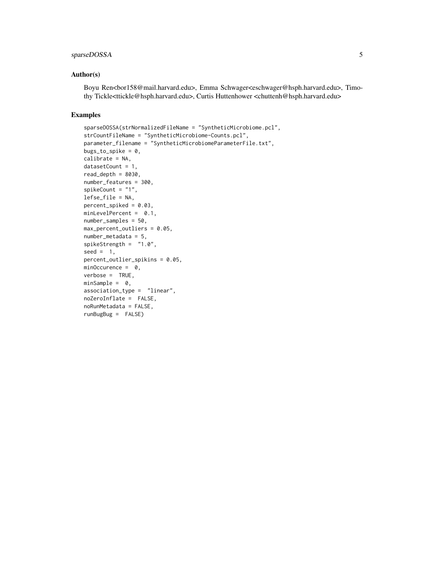# sparseDOSSA 5

## Author(s)

Boyu Ren<br/>sor158@mail.harvard.edu>, Emma Schwager<eschwager@hsph.harvard.edu>, Timothy Tickle<ttickle@hsph.harvard.edu>, Curtis Huttenhower <chuttenh@hsph.harvard.edu>

## Examples

```
sparseDOSSA(strNormalizedFileName = "SyntheticMicrobiome.pcl",
strCountFileName = "SyntheticMicrobiome-Counts.pcl",
parameter_filename = "SyntheticMicrobiomeParameterFile.txt",
bugs_to_spike = 0,
calibrate = NA,
datasetCount = 1,
read\_depth = 8030,number_features = 300,
spikeCount = "1",
lefse_file = NA,
percent_spiked = 0.03,
minLevelPercent = 0.1,
number_samples = 50,
max_percent_outliers = 0.05,
number_metadata = 5,
spikeStrength = "1.0",
seed = 1,
percent_outlier_spikins = 0.05,
minOccurrence = 0,
verbose = TRUE,
minSample = 0,
association_type = "linear",
noZeroInflate = FALSE,
noRunMetadata = FALSE,
runBugBug = FALSE)
```